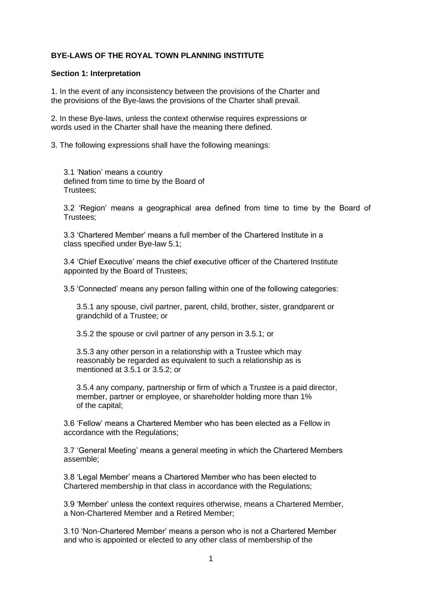# **BYE-LAWS OF THE ROYAL TOWN PLANNING INSTITUTE**

#### **Section 1: Interpretation**

1. In the event of any inconsistency between the provisions of the Charter and the provisions of the Bye-laws the provisions of the Charter shall prevail.

2. In these Bye-laws, unless the context otherwise requires expressions or words used in the Charter shall have the meaning there defined.

3. The following expressions shall have the following meanings:

3.1 'Nation' means a country defined from time to time by the Board of Trustees;

3.2 'Region' means a geographical area defined from time to time by the Board of Trustees;

3.3 'Chartered Member' means a full member of the Chartered Institute in a class specified under Bye-law 5.1;

3.4 'Chief Executive' means the chief executive officer of the Chartered Institute appointed by the Board of Trustees;

3.5 'Connected' means any person falling within one of the following categories:

3.5.1 any spouse, civil partner, parent, child, brother, sister, grandparent or grandchild of a Trustee; or

3.5.2 the spouse or civil partner of any person in 3.5.1; or

3.5.3 any other person in a relationship with a Trustee which may reasonably be regarded as equivalent to such a relationship as is mentioned at 3.5.1 or 3.5.2; or

3.5.4 any company, partnership or firm of which a Trustee is a paid director, member, partner or employee, or shareholder holding more than 1% of the capital;

3.6 'Fellow' means a Chartered Member who has been elected as a Fellow in accordance with the Regulations;

3.7 'General Meeting' means a general meeting in which the Chartered Members assemble;

3.8 'Legal Member' means a Chartered Member who has been elected to Chartered membership in that class in accordance with the Regulations;

3.9 'Member' unless the context requires otherwise, means a Chartered Member, a Non-Chartered Member and a Retired Member;

3.10 'Non-Chartered Member' means a person who is not a Chartered Member and who is appointed or elected to any other class of membership of the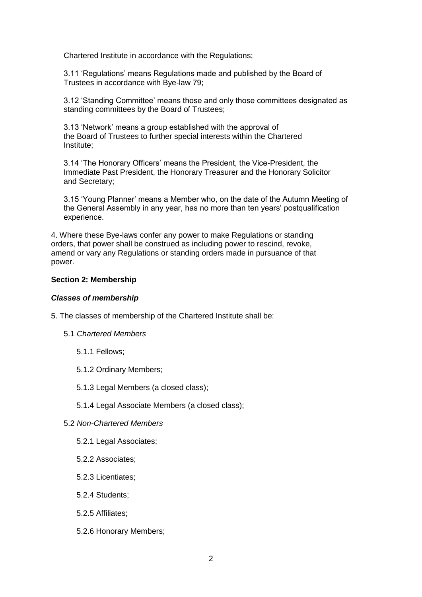Chartered Institute in accordance with the Regulations;

3.11 'Regulations' means Regulations made and published by the Board of Trustees in accordance with Bye-law 79;

3.12 'Standing Committee' means those and only those committees designated as standing committees by the Board of Trustees;

3.13 'Network' means a group established with the approval of the Board of Trustees to further special interests within the Chartered Institute;

3.14 'The Honorary Officers' means the President, the Vice-President, the Immediate Past President, the Honorary Treasurer and the Honorary Solicitor and Secretary;

3.15 'Young Planner' means a Member who, on the date of the Autumn Meeting of the General Assembly in any year, has no more than ten years' postqualification experience.

4. Where these Bye-laws confer any power to make Regulations or standing orders, that power shall be construed as including power to rescind, revoke, amend or vary any Regulations or standing orders made in pursuance of that power.

#### **Section 2: Membership**

### *Classes of membership*

5. The classes of membership of the Chartered Institute shall be:

- 5.1 *Chartered Members*
	- 5.1.1 Fellows;
	- 5.1.2 Ordinary Members;
	- 5.1.3 Legal Members (a closed class);
	- 5.1.4 Legal Associate Members (a closed class);
- 5.2 *Non-Chartered Members*
	- 5.2.1 Legal Associates;
	- 5.2.2 Associates;
	- 5.2.3 Licentiates;
	- 5.2.4 Students;
	- 5.2.5 Affiliates;
	- 5.2.6 Honorary Members;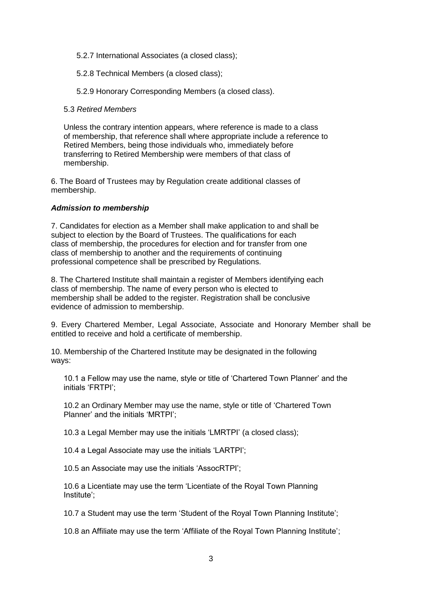5.2.7 International Associates (a closed class);

5.2.8 Technical Members (a closed class);

5.2.9 Honorary Corresponding Members (a closed class).

### 5.3 *Retired Members*

Unless the contrary intention appears, where reference is made to a class of membership, that reference shall where appropriate include a reference to Retired Members, being those individuals who, immediately before transferring to Retired Membership were members of that class of membership.

6. The Board of Trustees may by Regulation create additional classes of membership.

### *Admission to membership*

7. Candidates for election as a Member shall make application to and shall be subject to election by the Board of Trustees. The qualifications for each class of membership, the procedures for election and for transfer from one class of membership to another and the requirements of continuing professional competence shall be prescribed by Regulations.

8. The Chartered Institute shall maintain a register of Members identifying each class of membership. The name of every person who is elected to membership shall be added to the register. Registration shall be conclusive evidence of admission to membership.

9. Every Chartered Member, Legal Associate, Associate and Honorary Member shall be entitled to receive and hold a certificate of membership.

10. Membership of the Chartered Institute may be designated in the following ways:

10.1 a Fellow may use the name, style or title of 'Chartered Town Planner' and the initials 'FRTPI';

10.2 an Ordinary Member may use the name, style or title of 'Chartered Town Planner' and the initials 'MRTPI';

10.3 a Legal Member may use the initials 'LMRTPI' (a closed class);

10.4 a Legal Associate may use the initials 'LARTPI';

10.5 an Associate may use the initials 'AssocRTPI';

10.6 a Licentiate may use the term 'Licentiate of the Royal Town Planning Institute';

10.7 a Student may use the term 'Student of the Royal Town Planning Institute';

10.8 an Affiliate may use the term 'Affiliate of the Royal Town Planning Institute';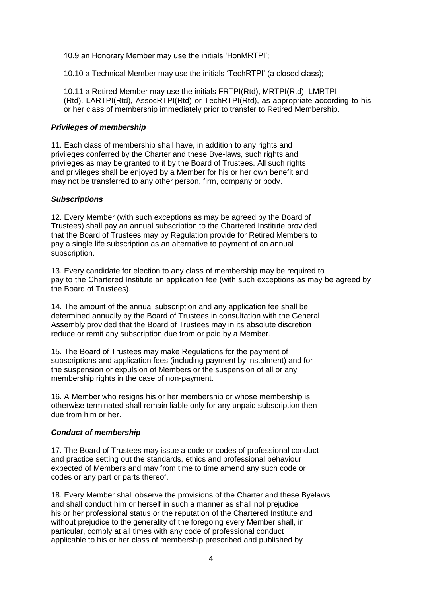10.9 an Honorary Member may use the initials 'HonMRTPI';

10.10 a Technical Member may use the initials 'TechRTPI' (a closed class);

10.11 a Retired Member may use the initials FRTPI(Rtd), MRTPI(Rtd), LMRTPI (Rtd), LARTPI(Rtd), AssocRTPI(Rtd) or TechRTPI(Rtd), as appropriate according to his or her class of membership immediately prior to transfer to Retired Membership.

### *Privileges of membership*

11. Each class of membership shall have, in addition to any rights and privileges conferred by the Charter and these Bye-laws, such rights and privileges as may be granted to it by the Board of Trustees. All such rights and privileges shall be enjoyed by a Member for his or her own benefit and may not be transferred to any other person, firm, company or body.

### *Subscriptions*

12. Every Member (with such exceptions as may be agreed by the Board of Trustees) shall pay an annual subscription to the Chartered Institute provided that the Board of Trustees may by Regulation provide for Retired Members to pay a single life subscription as an alternative to payment of an annual subscription.

13. Every candidate for election to any class of membership may be required to pay to the Chartered Institute an application fee (with such exceptions as may be agreed by the Board of Trustees).

14. The amount of the annual subscription and any application fee shall be determined annually by the Board of Trustees in consultation with the General Assembly provided that the Board of Trustees may in its absolute discretion reduce or remit any subscription due from or paid by a Member.

15. The Board of Trustees may make Regulations for the payment of subscriptions and application fees (including payment by instalment) and for the suspension or expulsion of Members or the suspension of all or any membership rights in the case of non-payment.

16. A Member who resigns his or her membership or whose membership is otherwise terminated shall remain liable only for any unpaid subscription then due from him or her.

## *Conduct of membership*

17. The Board of Trustees may issue a code or codes of professional conduct and practice setting out the standards, ethics and professional behaviour expected of Members and may from time to time amend any such code or codes or any part or parts thereof.

18. Every Member shall observe the provisions of the Charter and these Byelaws and shall conduct him or herself in such a manner as shall not prejudice his or her professional status or the reputation of the Chartered Institute and without prejudice to the generality of the foregoing every Member shall, in particular, comply at all times with any code of professional conduct applicable to his or her class of membership prescribed and published by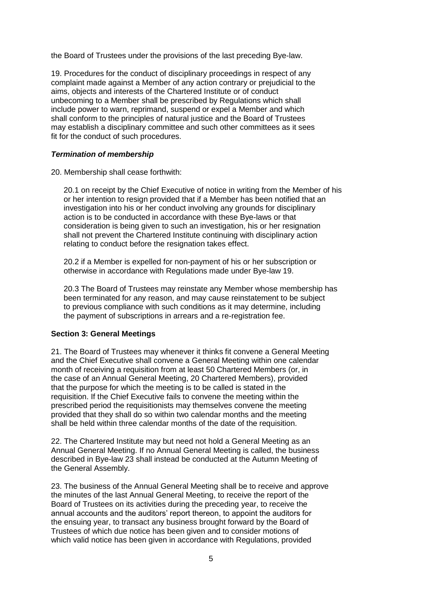the Board of Trustees under the provisions of the last preceding Bye-law.

19. Procedures for the conduct of disciplinary proceedings in respect of any complaint made against a Member of any action contrary or prejudicial to the aims, objects and interests of the Chartered Institute or of conduct unbecoming to a Member shall be prescribed by Regulations which shall include power to warn, reprimand, suspend or expel a Member and which shall conform to the principles of natural justice and the Board of Trustees may establish a disciplinary committee and such other committees as it sees fit for the conduct of such procedures.

## *Termination of membership*

20. Membership shall cease forthwith:

20.1 on receipt by the Chief Executive of notice in writing from the Member of his or her intention to resign provided that if a Member has been notified that an investigation into his or her conduct involving any grounds for disciplinary action is to be conducted in accordance with these Bye-laws or that consideration is being given to such an investigation, his or her resignation shall not prevent the Chartered Institute continuing with disciplinary action relating to conduct before the resignation takes effect.

20.2 if a Member is expelled for non-payment of his or her subscription or otherwise in accordance with Regulations made under Bye-law 19.

20.3 The Board of Trustees may reinstate any Member whose membership has been terminated for any reason, and may cause reinstatement to be subject to previous compliance with such conditions as it may determine, including the payment of subscriptions in arrears and a re-registration fee.

## **Section 3: General Meetings**

21. The Board of Trustees may whenever it thinks fit convene a General Meeting and the Chief Executive shall convene a General Meeting within one calendar month of receiving a requisition from at least 50 Chartered Members (or, in the case of an Annual General Meeting, 20 Chartered Members), provided that the purpose for which the meeting is to be called is stated in the requisition. If the Chief Executive fails to convene the meeting within the prescribed period the requisitionists may themselves convene the meeting provided that they shall do so within two calendar months and the meeting shall be held within three calendar months of the date of the requisition.

22. The Chartered Institute may but need not hold a General Meeting as an Annual General Meeting. If no Annual General Meeting is called, the business described in Bye-law 23 shall instead be conducted at the Autumn Meeting of the General Assembly.

23. The business of the Annual General Meeting shall be to receive and approve the minutes of the last Annual General Meeting, to receive the report of the Board of Trustees on its activities during the preceding year, to receive the annual accounts and the auditors' report thereon, to appoint the auditors for the ensuing year, to transact any business brought forward by the Board of Trustees of which due notice has been given and to consider motions of which valid notice has been given in accordance with Regulations, provided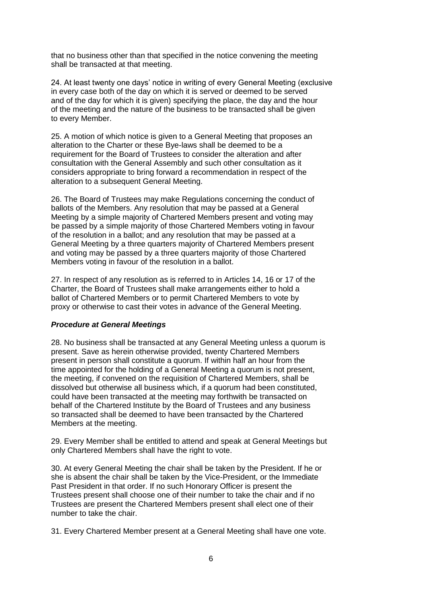that no business other than that specified in the notice convening the meeting shall be transacted at that meeting.

24. At least twenty one days' notice in writing of every General Meeting (exclusive in every case both of the day on which it is served or deemed to be served and of the day for which it is given) specifying the place, the day and the hour of the meeting and the nature of the business to be transacted shall be given to every Member.

25. A motion of which notice is given to a General Meeting that proposes an alteration to the Charter or these Bye-laws shall be deemed to be a requirement for the Board of Trustees to consider the alteration and after consultation with the General Assembly and such other consultation as it considers appropriate to bring forward a recommendation in respect of the alteration to a subsequent General Meeting.

26. The Board of Trustees may make Regulations concerning the conduct of ballots of the Members. Any resolution that may be passed at a General Meeting by a simple majority of Chartered Members present and voting may be passed by a simple majority of those Chartered Members voting in favour of the resolution in a ballot; and any resolution that may be passed at a General Meeting by a three quarters majority of Chartered Members present and voting may be passed by a three quarters majority of those Chartered Members voting in favour of the resolution in a ballot.

27. In respect of any resolution as is referred to in Articles 14, 16 or 17 of the Charter, the Board of Trustees shall make arrangements either to hold a ballot of Chartered Members or to permit Chartered Members to vote by proxy or otherwise to cast their votes in advance of the General Meeting.

## *Procedure at General Meetings*

28. No business shall be transacted at any General Meeting unless a quorum is present. Save as herein otherwise provided, twenty Chartered Members present in person shall constitute a quorum. If within half an hour from the time appointed for the holding of a General Meeting a quorum is not present, the meeting, if convened on the requisition of Chartered Members, shall be dissolved but otherwise all business which, if a quorum had been constituted, could have been transacted at the meeting may forthwith be transacted on behalf of the Chartered Institute by the Board of Trustees and any business so transacted shall be deemed to have been transacted by the Chartered Members at the meeting.

29. Every Member shall be entitled to attend and speak at General Meetings but only Chartered Members shall have the right to vote.

30. At every General Meeting the chair shall be taken by the President. If he or she is absent the chair shall be taken by the Vice-President, or the Immediate Past President in that order. If no such Honorary Officer is present the Trustees present shall choose one of their number to take the chair and if no Trustees are present the Chartered Members present shall elect one of their number to take the chair.

31. Every Chartered Member present at a General Meeting shall have one vote.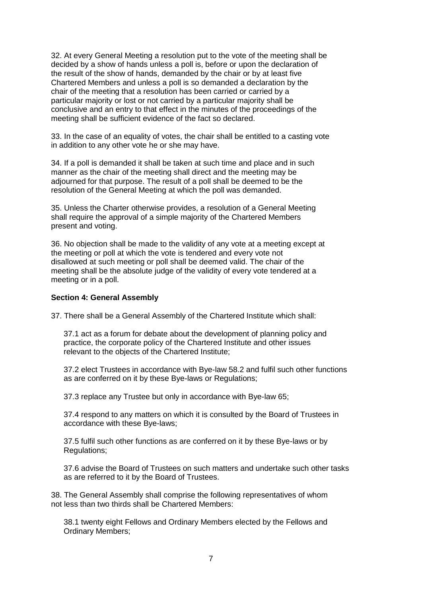32. At every General Meeting a resolution put to the vote of the meeting shall be decided by a show of hands unless a poll is, before or upon the declaration of the result of the show of hands, demanded by the chair or by at least five Chartered Members and unless a poll is so demanded a declaration by the chair of the meeting that a resolution has been carried or carried by a particular majority or lost or not carried by a particular majority shall be conclusive and an entry to that effect in the minutes of the proceedings of the meeting shall be sufficient evidence of the fact so declared.

33. In the case of an equality of votes, the chair shall be entitled to a casting vote in addition to any other vote he or she may have.

34. If a poll is demanded it shall be taken at such time and place and in such manner as the chair of the meeting shall direct and the meeting may be adjourned for that purpose. The result of a poll shall be deemed to be the resolution of the General Meeting at which the poll was demanded.

35. Unless the Charter otherwise provides, a resolution of a General Meeting shall require the approval of a simple majority of the Chartered Members present and voting.

36. No objection shall be made to the validity of any vote at a meeting except at the meeting or poll at which the vote is tendered and every vote not disallowed at such meeting or poll shall be deemed valid. The chair of the meeting shall be the absolute judge of the validity of every vote tendered at a meeting or in a poll.

#### **Section 4: General Assembly**

37. There shall be a General Assembly of the Chartered Institute which shall:

37.1 act as a forum for debate about the development of planning policy and practice, the corporate policy of the Chartered Institute and other issues relevant to the objects of the Chartered Institute;

37.2 elect Trustees in accordance with Bye-law 58.2 and fulfil such other functions as are conferred on it by these Bye-laws or Regulations;

37.3 replace any Trustee but only in accordance with Bye-law 65;

37.4 respond to any matters on which it is consulted by the Board of Trustees in accordance with these Bye-laws;

37.5 fulfil such other functions as are conferred on it by these Bye-laws or by Regulations;

37.6 advise the Board of Trustees on such matters and undertake such other tasks as are referred to it by the Board of Trustees.

38. The General Assembly shall comprise the following representatives of whom not less than two thirds shall be Chartered Members:

38.1 twenty eight Fellows and Ordinary Members elected by the Fellows and Ordinary Members;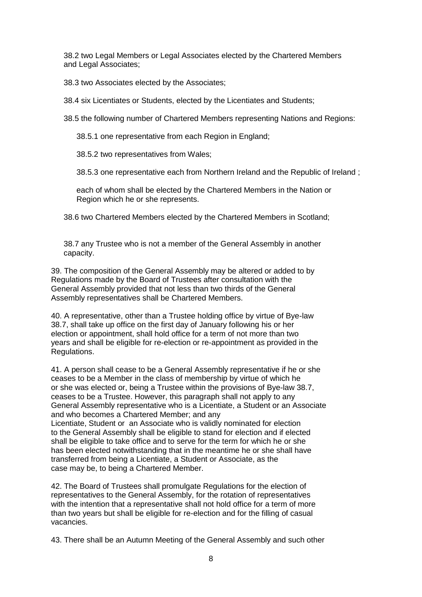38.2 two Legal Members or Legal Associates elected by the Chartered Members and Legal Associates;

38.3 two Associates elected by the Associates;

38.4 six Licentiates or Students, elected by the Licentiates and Students;

38.5 the following number of Chartered Members representing Nations and Regions:

38.5.1 one representative from each Region in England;

38.5.2 two representatives from Wales;

38.5.3 one representative each from Northern Ireland and the Republic of Ireland ;

each of whom shall be elected by the Chartered Members in the Nation or Region which he or she represents.

38.6 two Chartered Members elected by the Chartered Members in Scotland;

38.7 any Trustee who is not a member of the General Assembly in another capacity.

39. The composition of the General Assembly may be altered or added to by Regulations made by the Board of Trustees after consultation with the General Assembly provided that not less than two thirds of the General Assembly representatives shall be Chartered Members.

40. A representative, other than a Trustee holding office by virtue of Bye-law 38.7, shall take up office on the first day of January following his or her election or appointment, shall hold office for a term of not more than two years and shall be eligible for re-election or re-appointment as provided in the Regulations.

41. A person shall cease to be a General Assembly representative if he or she ceases to be a Member in the class of membership by virtue of which he or she was elected or, being a Trustee within the provisions of Bye-law 38.7, ceases to be a Trustee. However, this paragraph shall not apply to any General Assembly representative who is a Licentiate, a Student or an Associate and who becomes a Chartered Member; and any Licentiate, Student or an Associate who is validly nominated for election to the General Assembly shall be eligible to stand for election and if elected shall be eligible to take office and to serve for the term for which he or she has been elected notwithstanding that in the meantime he or she shall have transferred from being a Licentiate, a Student or Associate, as the case may be, to being a Chartered Member.

42. The Board of Trustees shall promulgate Regulations for the election of representatives to the General Assembly, for the rotation of representatives with the intention that a representative shall not hold office for a term of more than two years but shall be eligible for re-election and for the filling of casual vacancies.

43. There shall be an Autumn Meeting of the General Assembly and such other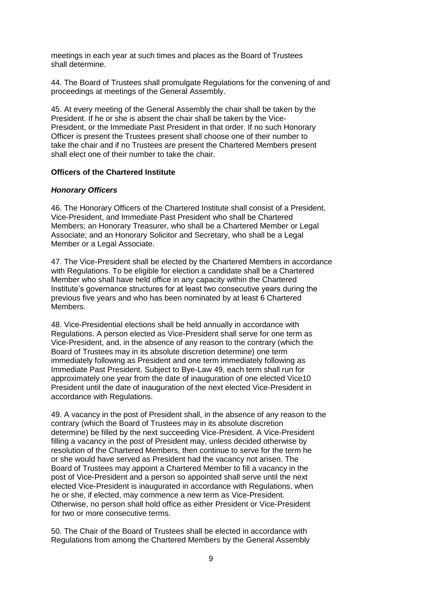meetings in each year at such times and places as the Board of Trustees shall determine.

44. The Board of Trustees shall promulgate Regulations for the convening of and proceedings at meetings of the General Assembly.

45. At every meeting of the General Assembly the chair shall be taken by the President. If he or she is absent the chair shall be taken by the Vice-President, or the Immediate Past President in that order. If no such Honorary Officer is present the Trustees present shall choose one of their number to take the chair and if no Trustees are present the Chartered Members present shall elect one of their number to take the chair.

#### **Officers of the Chartered Institute**

#### *Honorary Officers*

46. The Honorary Officers of the Chartered Institute shall consist of a President, Vice-President, and Immediate Past President who shall be Chartered Members; an Honorary Treasurer, who shall be a Chartered Member or Legal Associate; and an Honorary Solicitor and Secretary, who shall be a Legal Member or a Legal Associate.

47. The Vice-President shall be elected by the Chartered Members in accordance with Regulations. To be eligible for election a candidate shall be a Chartered Member who shall have held office in any capacity within the Chartered Institute's governance structures for at least two consecutive years during the previous five years and who has been nominated by at least 6 Chartered Members.

48. Vice-Presidential elections shall be held annually in accordance with Regulations. A person elected as Vice-President shall serve for one term as Vice-President, and, in the absence of any reason to the contrary (which the Board of Trustees may in its absolute discretion determine) one term immediately following as President and one term immediately following as Immediate Past President. Subject to Bye-Law 49, each term shall run for approximately one year from the date of inauguration of one elected Vice10 President until the date of inauguration of the next elected Vice-President in accordance with Regulations.

49. A vacancy in the post of President shall, in the absence of any reason to the contrary (which the Board of Trustees may in its absolute discretion determine) be filled by the next succeeding Vice-President. A Vice-President filling a vacancy in the post of President may, unless decided otherwise by resolution of the Chartered Members, then continue to serve for the term he or she would have served as President had the vacancy not arisen. The Board of Trustees may appoint a Chartered Member to fill a vacancy in the post of Vice-President and a person so appointed shall serve until the next elected Vice-President is inaugurated in accordance with Regulations, when he or she, if elected, may commence a new term as Vice-President. Otherwise, no person shall hold office as either President or Vice-President for two or more consecutive terms.

50. The Chair of the Board of Trustees shall be elected in accordance with Regulations from among the Chartered Members by the General Assembly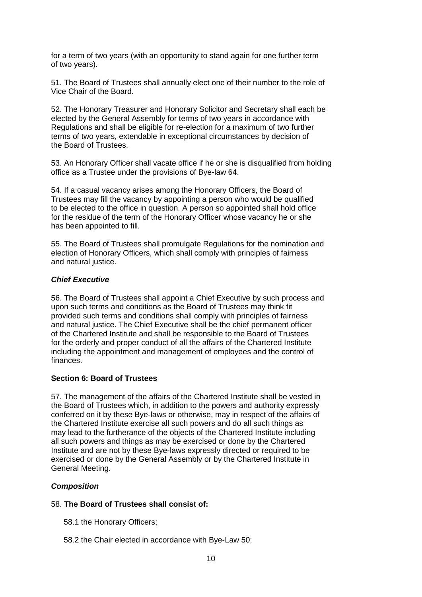for a term of two years (with an opportunity to stand again for one further term of two years).

51. The Board of Trustees shall annually elect one of their number to the role of Vice Chair of the Board.

52. The Honorary Treasurer and Honorary Solicitor and Secretary shall each be elected by the General Assembly for terms of two years in accordance with Regulations and shall be eligible for re-election for a maximum of two further terms of two years, extendable in exceptional circumstances by decision of the Board of Trustees.

53. An Honorary Officer shall vacate office if he or she is disqualified from holding office as a Trustee under the provisions of Bye-law 64.

54. If a casual vacancy arises among the Honorary Officers, the Board of Trustees may fill the vacancy by appointing a person who would be qualified to be elected to the office in question. A person so appointed shall hold office for the residue of the term of the Honorary Officer whose vacancy he or she has been appointed to fill.

55. The Board of Trustees shall promulgate Regulations for the nomination and election of Honorary Officers, which shall comply with principles of fairness and natural justice.

### *Chief Executive*

56. The Board of Trustees shall appoint a Chief Executive by such process and upon such terms and conditions as the Board of Trustees may think fit provided such terms and conditions shall comply with principles of fairness and natural justice. The Chief Executive shall be the chief permanent officer of the Chartered Institute and shall be responsible to the Board of Trustees for the orderly and proper conduct of all the affairs of the Chartered Institute including the appointment and management of employees and the control of finances.

## **Section 6: Board of Trustees**

57. The management of the affairs of the Chartered Institute shall be vested in the Board of Trustees which, in addition to the powers and authority expressly conferred on it by these Bye-laws or otherwise, may in respect of the affairs of the Chartered Institute exercise all such powers and do all such things as may lead to the furtherance of the objects of the Chartered Institute including all such powers and things as may be exercised or done by the Chartered Institute and are not by these Bye-laws expressly directed or required to be exercised or done by the General Assembly or by the Chartered Institute in General Meeting.

## *Composition*

## 58. **The Board of Trustees shall consist of:**

58.1 the Honorary Officers;

58.2 the Chair elected in accordance with Bye-Law 50;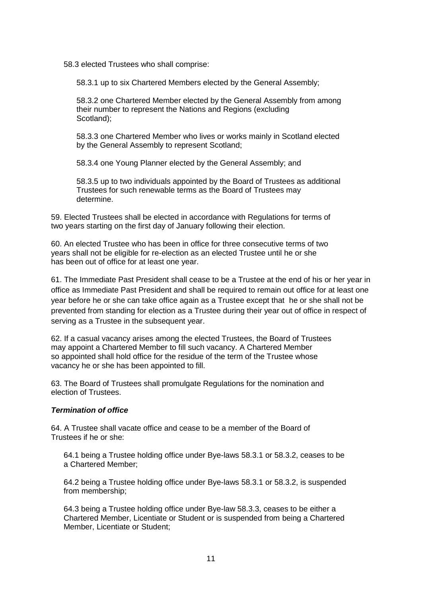58.3 elected Trustees who shall comprise:

58.3.1 up to six Chartered Members elected by the General Assembly;

58.3.2 one Chartered Member elected by the General Assembly from among their number to represent the Nations and Regions (excluding Scotland);

58.3.3 one Chartered Member who lives or works mainly in Scotland elected by the General Assembly to represent Scotland;

58.3.4 one Young Planner elected by the General Assembly; and

58.3.5 up to two individuals appointed by the Board of Trustees as additional Trustees for such renewable terms as the Board of Trustees may determine.

59. Elected Trustees shall be elected in accordance with Regulations for terms of two years starting on the first day of January following their election.

60. An elected Trustee who has been in office for three consecutive terms of two years shall not be eligible for re-election as an elected Trustee until he or she has been out of office for at least one year.

61. The Immediate Past President shall cease to be a Trustee at the end of his or her year in office as Immediate Past President and shall be required to remain out office for at least one year before he or she can take office again as a Trustee except that he or she shall not be prevented from standing for election as a Trustee during their year out of office in respect of serving as a Trustee in the subsequent year.

62. If a casual vacancy arises among the elected Trustees, the Board of Trustees may appoint a Chartered Member to fill such vacancy. A Chartered Member so appointed shall hold office for the residue of the term of the Trustee whose vacancy he or she has been appointed to fill.

63. The Board of Trustees shall promulgate Regulations for the nomination and election of Trustees.

## *Termination of office*

64. A Trustee shall vacate office and cease to be a member of the Board of Trustees if he or she:

64.1 being a Trustee holding office under Bye-laws 58.3.1 or 58.3.2, ceases to be a Chartered Member;

64.2 being a Trustee holding office under Bye-laws 58.3.1 or 58.3.2, is suspended from membership;

64.3 being a Trustee holding office under Bye-law 58.3.3, ceases to be either a Chartered Member, Licentiate or Student or is suspended from being a Chartered Member, Licentiate or Student;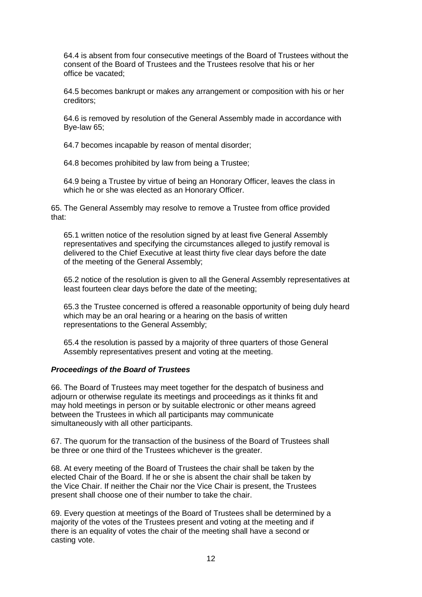64.4 is absent from four consecutive meetings of the Board of Trustees without the consent of the Board of Trustees and the Trustees resolve that his or her office be vacated;

64.5 becomes bankrupt or makes any arrangement or composition with his or her creditors;

64.6 is removed by resolution of the General Assembly made in accordance with Bye-law 65;

64.7 becomes incapable by reason of mental disorder;

64.8 becomes prohibited by law from being a Trustee;

64.9 being a Trustee by virtue of being an Honorary Officer, leaves the class in which he or she was elected as an Honorary Officer.

65. The General Assembly may resolve to remove a Trustee from office provided that:

65.1 written notice of the resolution signed by at least five General Assembly representatives and specifying the circumstances alleged to justify removal is delivered to the Chief Executive at least thirty five clear days before the date of the meeting of the General Assembly;

65.2 notice of the resolution is given to all the General Assembly representatives at least fourteen clear days before the date of the meeting;

65.3 the Trustee concerned is offered a reasonable opportunity of being duly heard which may be an oral hearing or a hearing on the basis of written representations to the General Assembly;

65.4 the resolution is passed by a majority of three quarters of those General Assembly representatives present and voting at the meeting.

#### *Proceedings of the Board of Trustees*

66. The Board of Trustees may meet together for the despatch of business and adjourn or otherwise regulate its meetings and proceedings as it thinks fit and may hold meetings in person or by suitable electronic or other means agreed between the Trustees in which all participants may communicate simultaneously with all other participants.

67. The quorum for the transaction of the business of the Board of Trustees shall be three or one third of the Trustees whichever is the greater.

68. At every meeting of the Board of Trustees the chair shall be taken by the elected Chair of the Board. If he or she is absent the chair shall be taken by the Vice Chair. If neither the Chair nor the Vice Chair is present, the Trustees present shall choose one of their number to take the chair.

69. Every question at meetings of the Board of Trustees shall be determined by a majority of the votes of the Trustees present and voting at the meeting and if there is an equality of votes the chair of the meeting shall have a second or casting vote.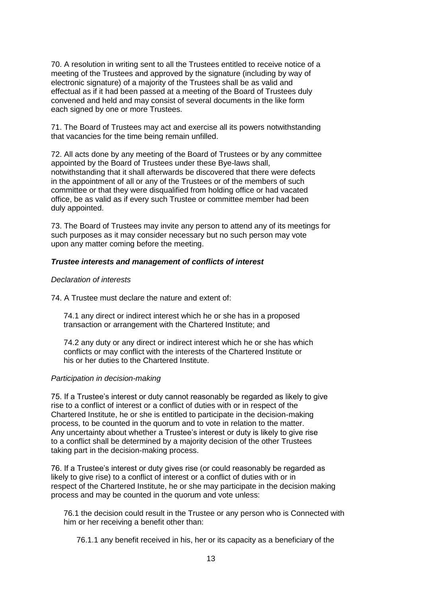70. A resolution in writing sent to all the Trustees entitled to receive notice of a meeting of the Trustees and approved by the signature (including by way of electronic signature) of a majority of the Trustees shall be as valid and effectual as if it had been passed at a meeting of the Board of Trustees duly convened and held and may consist of several documents in the like form each signed by one or more Trustees.

71. The Board of Trustees may act and exercise all its powers notwithstanding that vacancies for the time being remain unfilled.

72. All acts done by any meeting of the Board of Trustees or by any committee appointed by the Board of Trustees under these Bye-laws shall, notwithstanding that it shall afterwards be discovered that there were defects in the appointment of all or any of the Trustees or of the members of such committee or that they were disqualified from holding office or had vacated office, be as valid as if every such Trustee or committee member had been duly appointed.

73. The Board of Trustees may invite any person to attend any of its meetings for such purposes as it may consider necessary but no such person may vote upon any matter coming before the meeting.

### *Trustee interests and management of conflicts of interest*

#### *Declaration of interests*

74. A Trustee must declare the nature and extent of:

74.1 any direct or indirect interest which he or she has in a proposed transaction or arrangement with the Chartered Institute; and

74.2 any duty or any direct or indirect interest which he or she has which conflicts or may conflict with the interests of the Chartered Institute or his or her duties to the Chartered Institute.

#### *Participation in decision-making*

75. If a Trustee's interest or duty cannot reasonably be regarded as likely to give rise to a conflict of interest or a conflict of duties with or in respect of the Chartered Institute, he or she is entitled to participate in the decision-making process, to be counted in the quorum and to vote in relation to the matter. Any uncertainty about whether a Trustee's interest or duty is likely to give rise to a conflict shall be determined by a majority decision of the other Trustees taking part in the decision-making process.

76. If a Trustee's interest or duty gives rise (or could reasonably be regarded as likely to give rise) to a conflict of interest or a conflict of duties with or in respect of the Chartered Institute, he or she may participate in the decision making process and may be counted in the quorum and vote unless:

76.1 the decision could result in the Trustee or any person who is Connected with him or her receiving a benefit other than:

76.1.1 any benefit received in his, her or its capacity as a beneficiary of the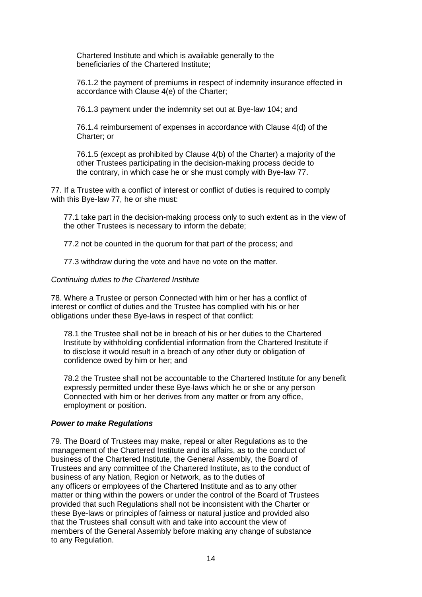Chartered Institute and which is available generally to the beneficiaries of the Chartered Institute;

76.1.2 the payment of premiums in respect of indemnity insurance effected in accordance with Clause 4(e) of the Charter;

76.1.3 payment under the indemnity set out at Bye-law 104; and

76.1.4 reimbursement of expenses in accordance with Clause 4(d) of the Charter; or

76.1.5 (except as prohibited by Clause 4(b) of the Charter) a majority of the other Trustees participating in the decision-making process decide to the contrary, in which case he or she must comply with Bye-law 77.

77. If a Trustee with a conflict of interest or conflict of duties is required to comply with this Bye-law 77, he or she must:

77.1 take part in the decision-making process only to such extent as in the view of the other Trustees is necessary to inform the debate;

77.2 not be counted in the quorum for that part of the process; and

77.3 withdraw during the vote and have no vote on the matter.

#### *Continuing duties to the Chartered Institute*

78. Where a Trustee or person Connected with him or her has a conflict of interest or conflict of duties and the Trustee has complied with his or her obligations under these Bye-laws in respect of that conflict:

78.1 the Trustee shall not be in breach of his or her duties to the Chartered Institute by withholding confidential information from the Chartered Institute if to disclose it would result in a breach of any other duty or obligation of confidence owed by him or her; and

78.2 the Trustee shall not be accountable to the Chartered Institute for any benefit expressly permitted under these Bye-laws which he or she or any person Connected with him or her derives from any matter or from any office, employment or position.

#### *Power to make Regulations*

79. The Board of Trustees may make, repeal or alter Regulations as to the management of the Chartered Institute and its affairs, as to the conduct of business of the Chartered Institute, the General Assembly, the Board of Trustees and any committee of the Chartered Institute, as to the conduct of business of any Nation, Region or Network, as to the duties of any officers or employees of the Chartered Institute and as to any other matter or thing within the powers or under the control of the Board of Trustees provided that such Regulations shall not be inconsistent with the Charter or these Bye-laws or principles of fairness or natural justice and provided also that the Trustees shall consult with and take into account the view of members of the General Assembly before making any change of substance to any Regulation.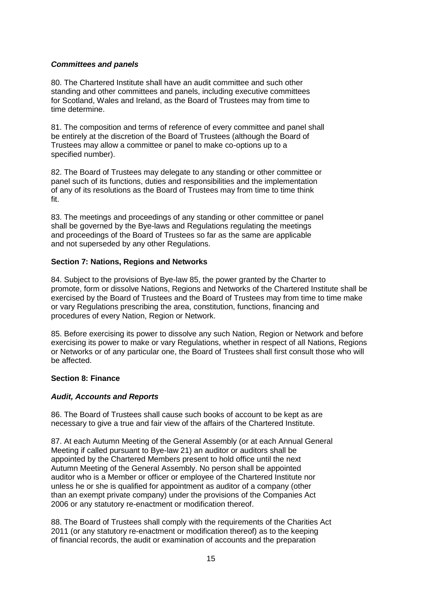# *Committees and panels*

80. The Chartered Institute shall have an audit committee and such other standing and other committees and panels, including executive committees for Scotland, Wales and Ireland, as the Board of Trustees may from time to time determine.

81. The composition and terms of reference of every committee and panel shall be entirely at the discretion of the Board of Trustees (although the Board of Trustees may allow a committee or panel to make co-options up to a specified number).

82. The Board of Trustees may delegate to any standing or other committee or panel such of its functions, duties and responsibilities and the implementation of any of its resolutions as the Board of Trustees may from time to time think fit.

83. The meetings and proceedings of any standing or other committee or panel shall be governed by the Bye-laws and Regulations regulating the meetings and proceedings of the Board of Trustees so far as the same are applicable and not superseded by any other Regulations.

## **Section 7: Nations, Regions and Networks**

84. Subject to the provisions of Bye-law 85, the power granted by the Charter to promote, form or dissolve Nations, Regions and Networks of the Chartered Institute shall be exercised by the Board of Trustees and the Board of Trustees may from time to time make or vary Regulations prescribing the area, constitution, functions, financing and procedures of every Nation, Region or Network.

85. Before exercising its power to dissolve any such Nation, Region or Network and before exercising its power to make or vary Regulations, whether in respect of all Nations, Regions or Networks or of any particular one, the Board of Trustees shall first consult those who will be affected.

## **Section 8: Finance**

## *Audit, Accounts and Reports*

86. The Board of Trustees shall cause such books of account to be kept as are necessary to give a true and fair view of the affairs of the Chartered Institute.

87. At each Autumn Meeting of the General Assembly (or at each Annual General Meeting if called pursuant to Bye-law 21) an auditor or auditors shall be appointed by the Chartered Members present to hold office until the next Autumn Meeting of the General Assembly. No person shall be appointed auditor who is a Member or officer or employee of the Chartered Institute nor unless he or she is qualified for appointment as auditor of a company (other than an exempt private company) under the provisions of the Companies Act 2006 or any statutory re-enactment or modification thereof.

88. The Board of Trustees shall comply with the requirements of the Charities Act 2011 (or any statutory re-enactment or modification thereof) as to the keeping of financial records, the audit or examination of accounts and the preparation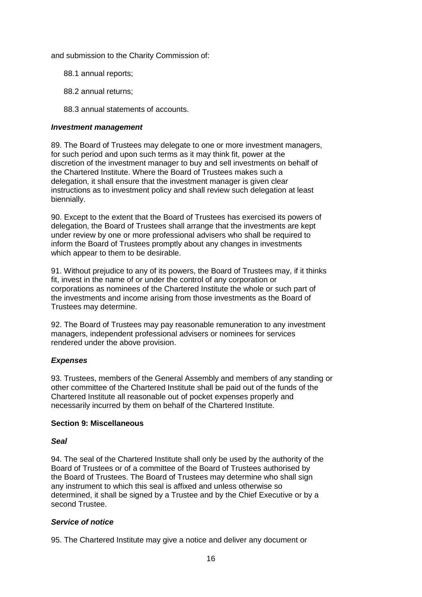and submission to the Charity Commission of:

- 88.1 annual reports;
- 88.2 annual returns;
- 88.3 annual statements of accounts.

### *Investment management*

89. The Board of Trustees may delegate to one or more investment managers, for such period and upon such terms as it may think fit, power at the discretion of the investment manager to buy and sell investments on behalf of the Chartered Institute. Where the Board of Trustees makes such a delegation, it shall ensure that the investment manager is given clear instructions as to investment policy and shall review such delegation at least biennially.

90. Except to the extent that the Board of Trustees has exercised its powers of delegation, the Board of Trustees shall arrange that the investments are kept under review by one or more professional advisers who shall be required to inform the Board of Trustees promptly about any changes in investments which appear to them to be desirable.

91. Without prejudice to any of its powers, the Board of Trustees may, if it thinks fit, invest in the name of or under the control of any corporation or corporations as nominees of the Chartered Institute the whole or such part of the investments and income arising from those investments as the Board of Trustees may determine.

92. The Board of Trustees may pay reasonable remuneration to any investment managers, independent professional advisers or nominees for services rendered under the above provision.

## *Expenses*

93. Trustees, members of the General Assembly and members of any standing or other committee of the Chartered Institute shall be paid out of the funds of the Chartered Institute all reasonable out of pocket expenses properly and necessarily incurred by them on behalf of the Chartered Institute.

### **Section 9: Miscellaneous**

#### *Seal*

94. The seal of the Chartered Institute shall only be used by the authority of the Board of Trustees or of a committee of the Board of Trustees authorised by the Board of Trustees. The Board of Trustees may determine who shall sign any instrument to which this seal is affixed and unless otherwise so determined, it shall be signed by a Trustee and by the Chief Executive or by a second Trustee.

## *Service of notice*

95. The Chartered Institute may give a notice and deliver any document or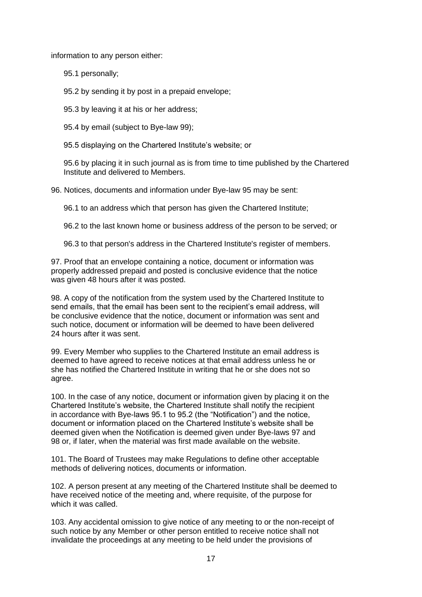information to any person either:

95.1 personally;

95.2 by sending it by post in a prepaid envelope;

95.3 by leaving it at his or her address;

95.4 by email (subject to Bye-law 99);

95.5 displaying on the Chartered Institute's website; or

95.6 by placing it in such journal as is from time to time published by the Chartered Institute and delivered to Members.

96. Notices, documents and information under Bye-law 95 may be sent:

96.1 to an address which that person has given the Chartered Institute;

96.2 to the last known home or business address of the person to be served; or

96.3 to that person's address in the Chartered Institute's register of members.

97. Proof that an envelope containing a notice, document or information was properly addressed prepaid and posted is conclusive evidence that the notice was given 48 hours after it was posted.

98. A copy of the notification from the system used by the Chartered Institute to send emails, that the email has been sent to the recipient's email address, will be conclusive evidence that the notice, document or information was sent and such notice, document or information will be deemed to have been delivered 24 hours after it was sent.

99. Every Member who supplies to the Chartered Institute an email address is deemed to have agreed to receive notices at that email address unless he or she has notified the Chartered Institute in writing that he or she does not so agree.

100. In the case of any notice, document or information given by placing it on the Chartered Institute's website, the Chartered Institute shall notify the recipient in accordance with Bye-laws 95.1 to 95.2 (the "Notification") and the notice, document or information placed on the Chartered Institute's website shall be deemed given when the Notification is deemed given under Bye-laws 97 and 98 or, if later, when the material was first made available on the website.

101. The Board of Trustees may make Regulations to define other acceptable methods of delivering notices, documents or information.

102. A person present at any meeting of the Chartered Institute shall be deemed to have received notice of the meeting and, where requisite, of the purpose for which it was called.

103. Any accidental omission to give notice of any meeting to or the non-receipt of such notice by any Member or other person entitled to receive notice shall not invalidate the proceedings at any meeting to be held under the provisions of